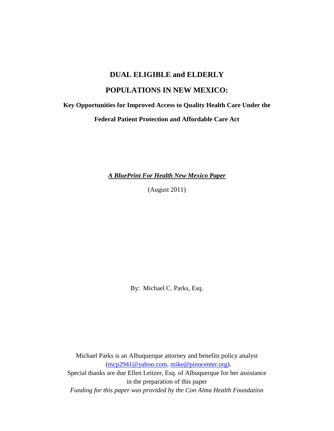# **DUAL ELIGIBLE and ELDERLY**

# **POPULATIONS IN NEW MEXICO:**

**Key Opportunities for Improved Access to Quality Health Care Under the**

**Federal Patient Protection and Affordable Care Act**

*A BluePrint For Health New Mexico Paper*

(August 2011)

By: Michael C. Parks, Esq.

Michael Parks is an Albuquerque attorney and benefits policy analyst [\(mcp2941@yahoo.com,](mailto:mcp2941@yahoo.com) [mike@pinocenter.org\)](mailto:mike@pinocenter.org). Special thanks are due Ellen Leitzer, Esq. of Albuquerque for her assistance in the preparation of this paper *Funding for this paper was provided by the Con Alma Health Foundation*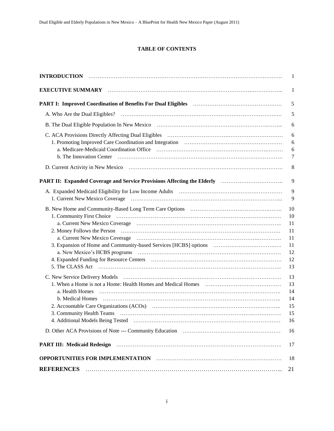#### **TABLE OF CONTENTS**

| <b>INTRODUCTION</b>                                                                                                  | 1                   |
|----------------------------------------------------------------------------------------------------------------------|---------------------|
| EXECUTIVE SUMMARY MARRIEUM CONTROLLER CONTROLLER SUMMARY                                                             | 1                   |
|                                                                                                                      | 5                   |
|                                                                                                                      | 5                   |
|                                                                                                                      | 6                   |
| C. ACA Provisions Directly Affecting Dual Eligibles (and according contract of the Directly Affecting Dual Eligibles | 6<br>6              |
|                                                                                                                      | 6<br>$\overline{7}$ |
|                                                                                                                      | 8                   |
| PART II: Expanded Coverage and Service Provisions Affecting the Elderly manufactured in the PART II:                 | 9                   |
|                                                                                                                      | 9                   |
|                                                                                                                      | 9                   |
|                                                                                                                      | 10                  |
|                                                                                                                      | 10                  |
|                                                                                                                      | 11                  |
|                                                                                                                      | 11                  |
|                                                                                                                      | 11                  |
|                                                                                                                      | 11                  |
|                                                                                                                      | 12                  |
|                                                                                                                      | 12                  |
|                                                                                                                      | 13                  |
|                                                                                                                      | 13                  |
|                                                                                                                      | 13                  |
| a. Health Homes                                                                                                      | 14                  |
|                                                                                                                      | 14                  |
|                                                                                                                      | 15                  |
|                                                                                                                      | 15                  |
|                                                                                                                      | 16                  |
|                                                                                                                      | 16                  |
| <b>PART III: Medicaid Redesign</b>                                                                                   | 17                  |
| OPPORTUNITIES FOR IMPLEMENTATION FINDING CONTINUES TO A CONTRACT THE SERVICE OF STATE AND THE SERVICE OF STATE       | 18                  |
| <b>REFERENCES</b>                                                                                                    | 21                  |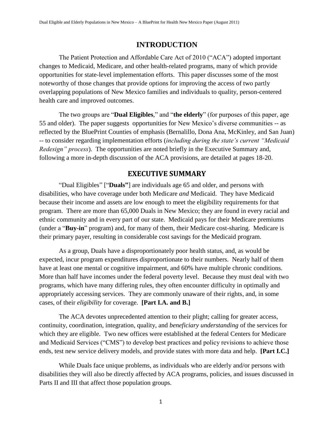# <span id="page-2-0"></span>**INTRODUCTION**

The Patient Protection and Affordable Care Act of 2010 ("ACA") adopted important changes to Medicaid, Medicare, and other health-related programs, many of which provide opportunities for state-level implementation efforts. This paper discusses some of the most noteworthy of those changes that provide options for improving the access of two partly overlapping populations of New Mexico families and individuals to quality, person-centered health care and improved outcomes.

The two groups are "**Dual Eligibles**," and "the elderly" (for purposes of this paper, age 55 and older). The paper suggests opportunities for New Mexico's diverse communities -- as reflected by the BluePrint Counties of emphasis (Bernalillo, Dona Ana, McKinley, and San Juan) -- to consider regarding implementation efforts (*including during the state's current "Medicaid Redesign" process*). The opportunities are noted briefly in the Executive Summary and, following a more in-depth discussion of the ACA provisions, are detailed at pages 18-20.

# **EXECUTIVE SUMMARY**

<span id="page-2-1"></span>"Dual Eligibles" ["Duals"] are individuals age 65 and older, and persons with disabilities, who have coverage under both Medicare *and* Medicaid. They have Medicaid because their income and assets are low enough to meet the eligibility requirements for that program. There are more than 65,000 Duals in New Mexico; they are found in every racial and ethnic community and in every part of our state. Medicaid pays for their Medicare premiums (under a "**Buy-in**" program) and, for many of them, their Medicare cost-sharing. Medicare is their primary payer, resulting in considerable cost savings for the Medicaid program.

As a group, Duals have a disproportionately poor health status, and, as would be expected, incur program expenditures disproportionate to their numbers. Nearly half of them have at least one mental or cognitive impairment, and 60% have multiple chronic conditions. More than half have incomes under the federal poverty level. Because they must deal with two programs, which have many differing rules, they often encounter difficulty in optimally and appropriately accessing services. They are commonly unaware of their rights, and, in some cases, of their *eligibility* for coverage. **[Part I.A. and B.]**

The ACA devotes unprecedented attention to their plight; calling for greater access, continuity, coordination, integration, quality, and *beneficiary understanding* of the services for which they are eligible. Two new offices were established at the federal Centers for Medicare and Medicaid Services ("CMS") to develop best practices and policy revisions to achieve those ends, test new service delivery models, and provide states with more data and help. **[Part I.C.]**

While Duals face unique problems, as individuals who are elderly and/or persons with disabilities they will also be directly affected by ACA programs, policies, and issues discussed in Parts II and III that affect those population groups.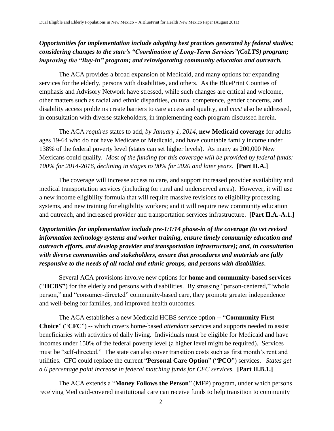# *Opportunities for implementation include adopting best practices generated by federal studies; considering changes to the state's "Coordination of Long-Term Services"(CoLTS) program; improving the "Buy-in" program; and reinvigorating community education and outreach.*

The ACA provides a broad expansion of Medicaid, and many options for expanding services for the elderly, persons with disabilities, and others. As the BluePrint Counties of emphasis and Advisory Network have stressed, while such changes are critical and welcome, other matters such as racial and ethnic disparities, cultural competence, gender concerns, and disability access problems create barriers to care access and quality, and *must* also be addressed, in consultation with diverse stakeholders, in implementing each program discussed herein.

The ACA *requires* states to add, *by January 1, 2014*, **new Medicaid coverage** for adults ages 19-64 who do not have Medicare or Medicaid, and have countable family income under 138% of the federal poverty level (states can set higher levels). As many as 200,000 New Mexicans could qualify. *Most of the funding for this coverage will be provided by federal funds: 100% for 2014-2016, declining in stages to 90% for 2020 and later years*. **[Part II.A.]**

The coverage will increase access to care, and support increased provider availability and medical transportation services (including for rural and underserved areas). However, it will use a new income eligibility formula that will require massive revisions to eligibility processing systems, and new training for eligibility workers; and it will require new community education and outreach, and increased provider and transportation services infrastructure. **[Part II.A.-A.1.]**

*Opportunities for implementation include pre-1/1/14 phase-in of the coverage (to vet revised information technology systems and worker training, ensure timely community education and outreach efforts, and develop provider and transportation infrastructure); and, in consultation with diverse communities and stakeholders, ensure that procedures and materials are fully responsive to the needs of all racial and ethnic groups, and persons with disabilities***.**

Several ACA provisions involve new options for **home and community-based services** ("HCBS") for the elderly and persons with disabilities. By stressing "person-centered," whole person," and "consumer-directed" community-based care, they promote greater independence and well-being for families, and improved health outcomes.

The ACA establishes a new Medicaid HCBS service option -- "**Community First Choice**" ("CFC") -- which covers home-based *attendant* services and supports needed to assist beneficiaries with activities of daily living. Individuals must be eligible for Medicaid and have incomes under 150% of the federal poverty level (a higher level might be required). Services must be "self-directed." The state can also cover transition costs such as first month's rent and utilities. CFC could replace the current "Personal Care Option" ("PCO") services. *States get a 6 percentage point increase in federal matching funds for CFC services.* **[Part II.B.1.]**

The ACA extends a "**Money Follows the Person**" (MFP) program, under which persons receiving Medicaid-covered institutional care can receive funds to help transition to community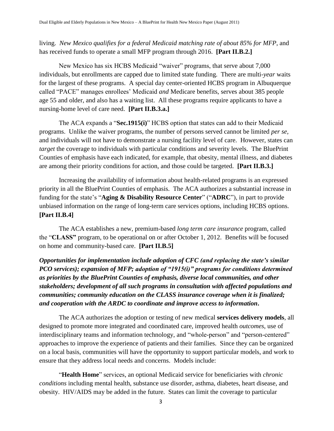living. *New Mexico qualifies for a federal Medicaid matching rate of about 85% for MFP*, and has received funds to operate a small MFP program through 2016. **[Part II.B.2.]**

New Mexico has six HCBS Medicaid "waiver" programs, that serve about 7,000 individuals, but enrollments are capped due to limited state funding. There are multi-*year* waits for the largest of these programs. A special day center-oriented HCBS program in Albuquerque called "PACE" manages enrollees' Medicaid *and* Medicare benefits, serves about 385 people age 55 and older, and also has a waiting list. All these programs require applicants to have a nursing-home level of care need. **[Part II.B.3.a.]**

The ACA expands a "Sec.1915(i)" HCBS option that states can add to their Medicaid programs. Unlike the waiver programs, the number of persons served cannot be limited *per se,*  and individuals will not have to demonstrate a nursing facility level of care. However, states can *target* the coverage to individuals with particular conditions and severity levels. The BluePrint Counties of emphasis have each indicated, for example, that obesity, mental illness, and diabetes are among their priority conditions for action, and those could be targeted. **[Part II.B.3.]**

Increasing the availability of information about health-related programs is an expressed priority in all the BluePrint Counties of emphasis. The ACA authorizes a substantial increase in funding for the state's "Aging & Disability Resource Center" ("ADRC"), in part to provide unbiased information on the range of long-term care services options, including HCBS options. **[Part II.B.4]**

The ACA establishes a new, premium-based *long term care insurance* program, called the "CLASS" program, to be operational on or after October 1, 2012. Benefits will be focused on home and community-based care. **[Part II.B.5]** 

*Opportunities for implementation include adoption of CFC (and replacing the state's similar PCO services); expansion of MFP; adoption of "1915(i)" programs for conditions determined as priorities by the BluePrint Counties of emphasis, diverse local communities, and other stakeholders; development of all such programs in consultation with affected populations and communities; community education on the CLASS insurance coverage when it is finalized; and cooperation with the ARDC to coordinate and improve access to information***.**

The ACA authorizes the adoption or testing of new medical **services delivery models***,* all designed to promote more integrated and coordinated care, improved health *outcomes*, use of interdisciplinary teams and information technology, and "whole-person" and "person-centered" approaches to improve the experience of patients and their families. Since they can be organized on a local basis, communities will have the opportunity to support particular models, and work to ensure that they address local needs and concerns. Models include:

―**Health Home**‖ services, an optional Medicaid service for beneficiaries with *chronic conditions* including mental health, substance use disorder, asthma, diabetes, heart disease, and obesity. HIV/AIDS may be added in the future. States can limit the coverage to particular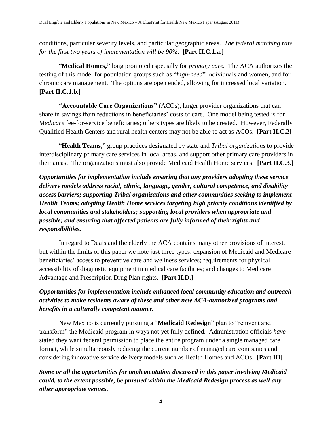conditions, particular severity levels, and particular geographic areas. *The federal matching rate for the first two years of implementation will be 90%.* **[Part II.C.1.a.]**

―**Medical Homes,"** long promoted especially for *primary care.* The ACA authorizes the testing of this model for population groups such as "*high-need*" individuals and women, and for chronic care management. The options are open ended, allowing for increased local variation. **[Part II.C.1.b.]**

**"Accountable Care Organizations"** (ACOs), larger provider organizations that can share in savings from reductions in beneficiaries' costs of care. One model being tested is for *Medicare* fee-for-service beneficiaries; others types are likely to be created. However, Federally Qualified Health Centers and rural health centers may not be able to act as ACOs. **[Part II.C.2]**

―**Health Teams,**‖ group practices designated by state and *Tribal organizations* to provide interdisciplinary primary care services in local areas, and support other primary care providers in their areas. The organizations must also provide Medicaid Health Home services*.* **[Part II.C.3.]**

*Opportunities for implementation include ensuring that any providers adopting these service delivery models address racial, ethnic, language, gender, cultural competence, and disability access barriers; supporting Tribal organizations and other communities seeking to implement Health Teams; adopting Health Home services targeting high priority conditions identified by local communities and stakeholders; supporting local providers when appropriate and possible; and ensuring that affected patients are fully informed of their rights and responsibilities.*

In regard to Duals and the elderly the ACA contains many other provisions of interest, but within the limits of this paper we note just three types: expansion of Medicaid and Medicare beneficiaries' access to preventive care and wellness services; requirements for physical accessibility of diagnostic equipment in medical care facilities; and changes to Medicare Advantage and Prescription Drug Plan rights. **[Part II.D.]** 

# *Opportunities for implementation include enhanced local community education and outreach activities to make residents aware of these and other new ACA-authorized programs and benefits in a culturally competent manner.*

New Mexico is currently pursuing a "**Medicaid Redesign**" plan to "reinvent and transform‖ the Medicaid program in ways not yet fully defined. Administration officials *have*  stated they want federal permission to place the entire program under a single managed care format, while simultaneously reducing the current number of managed care companies and considering innovative service delivery models such as Health Homes and ACOs. **[Part III]**

*Some or all the opportunities for implementation discussed in this paper involving Medicaid could, to the extent possible, be pursued within the Medicaid Redesign process as well any other appropriate venues.*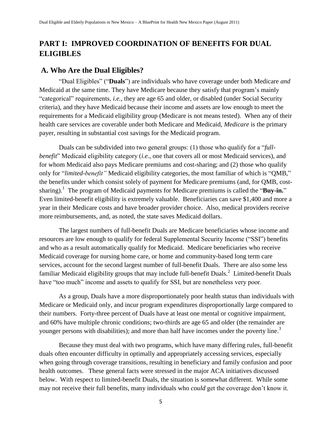# <span id="page-6-0"></span>**PART I: IMPROVED COORDINATION OF BENEFITS FOR DUAL ELIGIBLES**

## <span id="page-6-1"></span>**A. Who Are the Dual Eligibles?**

―Dual Eligibles‖ (―**Duals**‖) are individuals who have coverage under both Medicare *and*  Medicaid at the same time. They have Medicare because they satisfy that program's mainly ―categorical‖ requirements, *i.e.,* they are age 65 and older, or disabled (under Social Security criteria), and they have Medicaid because their income and assets are low enough to meet the requirements for a Medicaid eligibility group (Medicare is not means tested). When any of their health care services are coverable under both Medicare and Medicaid, *Medicare* is the primary payer, resulting in substantial cost savings for the Medicaid program.

Duals can be subdivided into two general groups: (1) those who qualify for a "*fullbenefit*" Medicaid eligibility category *(i.e., one that covers all or most Medicaid services), and* for whom Medicaid also pays Medicare premiums and cost-sharing; and (2) those who qualify only for "limited-benefit" Medicaid eligibility categories, the most familiar of which is "QMB," the benefits under which consist solely of payment for Medicare premiums (and, for QMB, costsharing).<sup>1</sup> The program of Medicaid payments for Medicare premiums is called the "Buy-in." Even limited-benefit eligibility is extremely valuable. Beneficiaries can save \$1,400 and more a year in their Medicare costs and have broader provider choice. Also, medical providers receive more reimbursements, and, as noted, the state saves Medicaid dollars.

The largest numbers of full-benefit Duals are Medicare beneficiaries whose income and resources are low enough to qualify for federal Supplemental Security Income ("SSI") benefits and who as a result automatically qualify for Medicaid. Medicare beneficiaries who receive Medicaid coverage for nursing home care, or home and community-based long term care services, account for the second largest number of full-benefit Duals. There are also some less familiar Medicaid eligibility groups that may include full-benefit Duals.<sup>2</sup> Limited-benefit Duals have "too much" income and assets to qualify for SSI, but are nonetheless very poor.

As a group, Duals have a more disproportionately poor health status than individuals with Medicare or Medicaid only, and incur program expenditures disproportionally large compared to their numbers. Forty-three percent of Duals have at least one mental or cognitive impairment, and 60% have multiple chronic conditions; two-thirds are age 65 and older (the remainder are younger persons with disabilities); and more than half have incomes under the poverty line.<sup>3</sup>

Because they must deal with two programs, which have many differing rules, full-benefit duals often encounter difficulty in optimally and appropriately accessing services, especially when going through coverage transitions, resulting in beneficiary and family confusion and poor health outcomes. These general facts were stressed in the major ACA initiatives discussed below. With respect to limited-benefit Duals, the situation is somewhat different. While some may not receive their full benefits, many individuals who *could* get the coverage don't know it.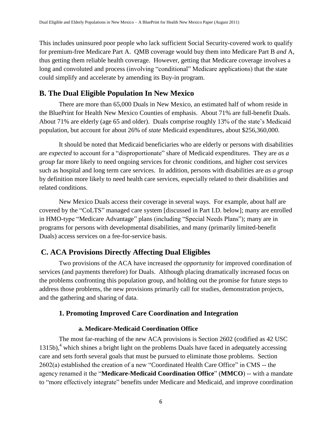This includes uninsured poor people who lack sufficient Social Security-covered work to qualify for premium-free Medicare Part A. QMB coverage would buy them into Medicare Part B *and* A, thus getting them reliable health coverage. However, getting that Medicare coverage involves a long and convoluted and process (involving "conditional" Medicare applications) that the state could simplify and accelerate by amending its Buy-in program.

# <span id="page-7-0"></span>**B. The Dual Eligible Population In New Mexico**

There are more than 65,000 Duals in New Mexico, an estimated half of whom reside in the BluePrint for Health New Mexico Counties of emphasis. About 71% are full-benefit Duals. About 71% are elderly (age 65 and older). Duals comprise roughly 13% of the state's Medicaid population, but account for about 26% of *state* Medicaid expenditures, about \$256,360,000.

It should be noted that Medicaid beneficiaries who are elderly or persons with disabilities are *expected* to account for a "disproportionate" share of Medicaid expenditures. They are *as a group* far more likely to need ongoing services for chronic conditions, and higher cost services such as hospital and long term care services. In addition, persons with disabilities are *as a group* by definition more likely to need health care services, especially related to their disabilities and related conditions.

New Mexico Duals access their coverage in several ways. For example, about half are covered by the "CoLTS" managed care system [discussed in Part I.D. below]; many are enrolled in HMO-type "Medicare Advantage" plans (including "Special Needs Plans"); many are in programs for persons with developmental disabilities, and many (primarily limited-benefit Duals) access services on a fee-for-service basis.

# <span id="page-7-1"></span>**C. ACA Provisions Directly Affecting Dual Eligibles**

Two provisions of the ACA have increased *the opportunity* for improved coordination of services (and payments therefore) for Duals. Although placing dramatically increased focus on the problems confronting this population group, and holding out the promise for future steps to address those problems, the new provisions primarily call for studies, demonstration projects, and the gathering and sharing of data.

# <span id="page-7-2"></span>**1. Promoting Improved Care Coordination and Integration**

# <span id="page-7-3"></span>**a. Medicare-Medicaid Coordination Office**

The most far-reaching of the new ACA provisions is Section 2602 (codified as 42 USC  $1315b$ ,<sup>4</sup> which shines a bright light on the problems Duals have faced in adequately accessing care and sets forth several goals that must be pursued to eliminate those problems. Section  $2602(a)$  established the creation of a new "Coordinated Health Care Office" in CMS -- the agency renamed it the "Medicare-Medicaid Coordination Office" (MMCO) -- with a mandate to "more effectively integrate" benefits under Medicare and Medicaid, and improve coordination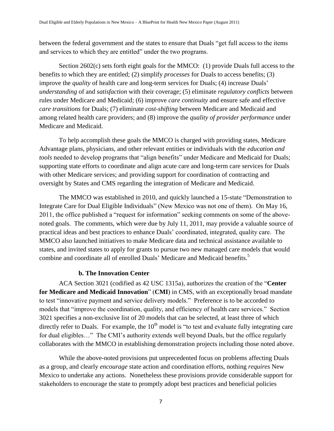between the federal government and the states to ensure that Duals "get full access to the items and services to which they are entitled" under the two programs.

Section 2602(c) sets forth eight goals for the MMCO: (1) provide Duals full access to the benefits to which they are entitled; (2) simplify *processes* for Duals to access benefits; (3) improve the *quality* of health care and long-term services for Duals; (4) increase Duals' *understanding* of and *satisfaction* with their coverage; (5) eliminate *regulatory conflicts* between rules under Medicare and Medicaid; (6) improve *care continuity* and ensure safe and effective *care transitions* for Duals; (7) eliminate *cost-shifting* between Medicare and Medicaid and among related health care providers; and (8) improve the *quality of provider performance* under Medicare and Medicaid.

To help accomplish these goals the MMCO is charged with providing states, Medicare Advantage plans, physicians, and other relevant entities or individuals with the *education and*  tools needed to develop programs that "align benefits" under Medicare and Medicaid for Duals; supporting state efforts to coordinate and align acute care and long-term care services for Duals with other Medicare services; and providing support for coordination of contracting and oversight by States and CMS regarding the integration of Medicare and Medicaid.

The MMCO was established in 2010, and quickly launched a 15-state "Demonstration to Integrate Care for Dual Eligible Individuals" (New Mexico was not one of them). On May 16, 2011, the office published a "request for information" seeking comments on some of the abovenoted goals. The comments, which were due by July 11, 2011, may provide a valuable source of practical ideas and best practices to enhance Duals' coordinated, integrated, quality care. The MMCO also launched initiatives to make Medicare data and technical assistance available to states, and invited states to apply for grants to pursue two new managed care models that would combine and coordinate all of enrolled Duals' Medicare and Medicaid benefits.<sup>5</sup>

#### <span id="page-8-0"></span>**b. The Innovation Center**

ACA Section 3021 (codified as 42 USC 1315a), authorizes the creation of the "Center **for Medicare and Medicaid Innovation**" (CMI) in CMS, with an exceptionally broad mandate to test "innovative payment and service delivery models." Preference is to be accorded to models that "improve the coordination, quality, and efficiency of health care services." Section 3021 specifies a non-exclusive list of 20 models that can be selected, at least three of which directly refer to Duals. For example, the  $10<sup>th</sup>$  model is "to test and evaluate fully integrating care for dual eligibles…" The CMI's authority extends well beyond Duals, but the office regularly collaborates with the MMCO in establishing demonstration projects including those noted above.

While the above-noted provisions put unprecedented focus on problems affecting Duals as a group, and clearly *encourage* state action and coordination efforts, nothing *requires* New Mexico to undertake any actions. Nonetheless these provisions provide considerable support for stakeholders to encourage the state to promptly adopt best practices and beneficial policies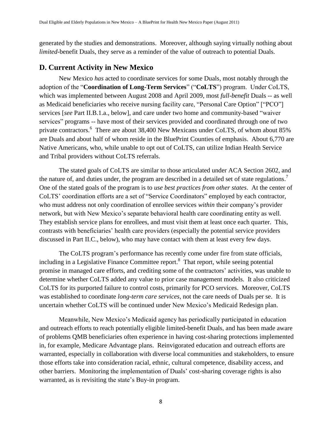generated by the studies and demonstrations. Moreover, although saying virtually nothing about *limited-*benefit Duals, they serve as a reminder of the value of outreach to potential Duals.

# <span id="page-9-0"></span>**D. Current Activity in New Mexico**

New Mexico *has* acted to coordinate services for some Duals, most notably through the adoption of the "Coordination of Long-Term Services" ("CoLTS") program. Under CoLTS, which was implemented between August 2008 and April 2009, most *full-benefit* Duals -- as well as Medicaid beneficiaries who receive nursing facility care, "Personal Care Option" ["PCO"] services [see Part II.B.1.a., below], and care under two home and community-based "waiver" services" programs -- have most of their services provided and coordinated through one of two private contractors.<sup>6</sup> There are about 38,400 New Mexicans under CoLTS, of whom about 85% are Duals and about half of whom reside in the BluePrint Counties of emphasis. About 6,770 are Native Americans, who, while unable to opt out of CoLTS, can utilize Indian Health Service and Tribal providers without CoLTS referrals.

The stated goals of CoLTS are similar to those articulated under ACA Section 2602, and the nature of, and duties under, the program are described in a detailed set of state regulations.<sup>7</sup> One of the stated goals of the program is to *use best practices from other states*. At the center of CoLTS' coordination efforts are a set of "Service Coordinators" employed by each contractor, who must address not only coordination of enrollee services *within* their company's provider network, but with New Mexico's separate behavioral health care coordinating entity as well. They establish service plans for enrollees, and must visit them at least once each quarter. This, contrasts with beneficiaries' health care providers (especially the potential service providers discussed in Part II.C., below), who may have contact with them at least every few days.

The CoLTS program's performance has recently come under fire from state officials, including in a Legislative Finance Committee report. 8 That report, while seeing potential promise in managed care efforts, and crediting some of the contractors' activities, was unable to determine whether CoLTS added any value to prior case management models. It also criticized CoLTS for its purported failure to control costs, primarily for PCO services. Moreover, CoLTS was established to coordinate *long-term care services,* not the care needs of Duals per se. It is uncertain whether CoLTS will be continued under New Mexico's Medicaid Redesign plan.

Meanwhile, New Mexico's Medicaid agency has periodically participated in education and outreach efforts to reach potentially eligible limited-benefit Duals, and has been made aware of problems QMB beneficiaries often experience in having cost-sharing protections implemented in, for example, Medicare Advantage plans. Reinvigorated education and outreach efforts are warranted, especially in collaboration with diverse local communities and stakeholders, to ensure those efforts take into consideration racial, ethnic, cultural competence, disability access, and other barriers. Monitoring the implementation of Duals' cost-sharing coverage rights is also warranted, as is revisiting the state's Buy-in program.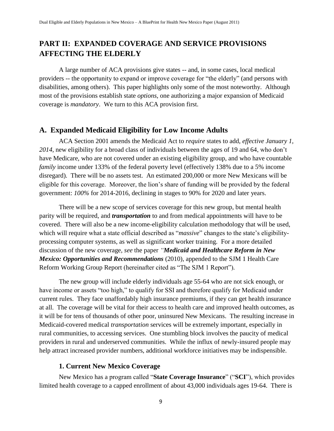# <span id="page-10-0"></span>**PART II: EXPANDED COVERAGE AND SERVICE PROVISIONS AFFECTING THE ELDERLY**

<span id="page-10-1"></span>A large number of ACA provisions give states -- and, in some cases, local medical providers -- the opportunity to expand or improve coverage for "the elderly" (and persons with disabilities, among others). This paper highlights only some of the most noteworthy. Although most of the provisions establish state *options*, one authorizing a major expansion of Medicaid coverage is *mandatory*. We turn to this ACA provision first.

# **A. Expanded Medicaid Eligibility for Low Income Adults**

ACA Section 2001 amends the Medicaid Act to *require* states to add, *effective January 1, 2014*, new eligibility for a broad class of individuals between the ages of 19 and 64, who don't have Medicare, who are not covered under an existing eligibility group, and who have countable *family* income under 133% of the federal poverty level (effectively 138% due to a 5% income disregard). There will be no assets test. An estimated 200,000 or more New Mexicans will be eligible for this coverage. Moreover, the lion's share of funding will be provided by the federal government: *100%* for 2014-2016, declining in stages to 90% for 2020 and later years.

There will be a new scope of services coverage for this new group, but mental health parity will be required, and *transportation* to and from medical appointments will have to be covered. There will also be a new income-eligibility calculation methodology that will be used, which will require what a state official described as "*massive*" changes to the state's eligibilityprocessing computer systems, as well as significant worker training. For a more detailed discussion of the new coverage*, see* the paper *"Medicaid and Healthcare Reform in New Mexico: Opportunities and Recommendations* (2010), appended to the SJM 1 Health Care Reform Working Group Report (hereinafter cited as "The SJM 1 Report").

The new group will include elderly individuals age 55-64 who are not sick enough, or have income or assets "too high," to qualify for SSI and therefore qualify for Medicaid under current rules. They face unaffordably high insurance premiums, if they can get health insurance at all. The coverage will be vital for their access to health care and improved health outcomes, as it will be for tens of thousands of other poor, uninsured New Mexicans. The resulting increase in Medicaid-covered medical *transportation* services will be extremely important, especially in rural communities, to accessing services. One stumbling block involves the paucity of medical providers in rural and underserved communities. While the influx of newly-insured people may help attract increased provider numbers, additional workforce initiatives may be indispensible.

# <span id="page-10-2"></span>**1. Current New Mexico Coverage**

New Mexico has a program called "State Coverage Insurance" ("SCI"), which provides limited health coverage to a capped enrollment of about 43,000 individuals ages 19-64. There is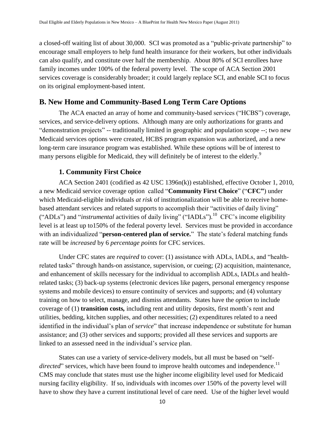a closed-off waiting list of about 30,000. SCI was promoted as a "public-private partnership" to encourage small employers to help fund health insurance for their workers, but other individuals can also qualify, and constitute over half the membership. About 80% of SCI enrollees have family incomes under 100% of the federal poverty level. The scope of ACA Section 2001 services coverage is considerably broader; it could largely replace SCI, and enable SCI to focus on its original employment-based intent.

# <span id="page-11-0"></span>**B. New Home and Community-Based Long Term Care Options**

The ACA enacted an array of home and community-based services ("HCBS") coverage, services, and service-delivery options. Although many are only authorizations for grants and "demonstration projects" -- traditionally limited in geographic and population scope --; two new Medicaid services options were created, HCBS program expansion was authorized, and a new long-term care insurance program was established. While these options will be of interest to many persons eligible for Medicaid, they will definitely be of interest to the elderly.<sup>9</sup>

#### <span id="page-11-1"></span>**1. Community First Choice**

ACA Section 2401 (codified as 42 USC 1396n(k)) established, effective October 1, 2010, a new Medicaid service coverage option called "**Community First Choice**" ("CFC") under which Medicaid-eligible individuals *at risk* of institutionalization will be able to receive homebased attendant services and related supports to accomplish their "activities of daily living" ("ADLs") and "*instrumental* activities of daily living" ("IADLs").<sup>10</sup> CFC's income eligibility level is at least up to150% of the federal poverty level. Services must be provided in accordance with an individualized "**person-centered plan of service.**" The state's federal matching funds rate will be *increased* by 6 *percentage points* for CFC services.

Under CFC states are *required* to cover: (1) assistance with ADLs, IADLs, and "healthrelated tasks" through hands-on assistance, supervision, or cueing; (2) acquisition, maintenance, and enhancement of skills necessary for the individual to accomplish ADLs, IADLs and healthrelated tasks; (3) back-up systems (electronic devices like pagers, personal emergency response systems and mobile devices) to ensure continuity of services and supports; and (4) voluntary training on how to select, manage, and dismiss attendants. States have the *option* to include coverage of (1) **transition costs***,* including rent and utility deposits, first month's rent and utilities, bedding, kitchen supplies, and other necessities; (2) expenditures related to a need identified in the individual's plan of *service*" that increase independence or substitute for human assistance; and (3) other services and supports; provided all these services and supports are linked to an assessed need in the individual's service plan.

States can use a variety of service-delivery models, but all must be based on "self*directed*" services, which have been found to improve health outcomes and independence.<sup>11</sup> CMS may conclude that states must use the higher income eligibility level used for Medicaid nursing facility eligibility. If so, individuals with incomes *over* 150% of the poverty level will have to show they have a current institutional level of care need. Use of the higher level would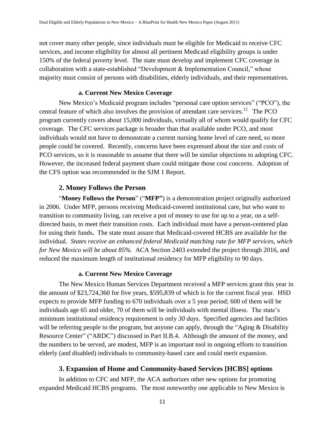not cover many other people, since individuals must be eligible for Medicaid to receive CFC services, and income eligibility for almost all pertinent Medicaid eligibility groups is under 150% of the federal poverty level. The state must develop and implement CFC coverage in collaboration with a state-established "Development  $&$  Implementation Council," whose majority must consist of persons with disabilities, elderly individuals, and their representatives.

#### <span id="page-12-0"></span>**a. Current New Mexico Coverage**

New Mexico's Medicaid program includes "personal care option services" ("PCO"), the central feature of which also involves the provision of attendant care services.<sup>12</sup> The PCO program currently covers about 15,000 individuals, virtually all of whom would qualify for CFC coverage. The CFC services package is broader than that available under PCO, and most individuals would not have to demonstrate a current nursing home level of care need, so more people could be covered. Recently, concerns have been expressed about the size and costs of PCO services, so it is reasonable to assume that there will be similar objections to adopting CFC. However, the increased federal payment share could mitigate those cost concerns. Adoption of the CFS option was recommended in the SJM 1 Report.

#### <span id="page-12-1"></span>**2. Money Follows the Person**

"Money Follows the Person" ("MFP") is a demonstration project originally authorized in 2006. Under MFP, persons receiving Medicaid-covered institutional care, but who want to transition to community living, can receive a pot of money to use for up to a year, on a selfdirected basis, to meet their transition costs. Each individual must have a person-centered plan for using their funds**.** The state must assure that Medicaid-covered HCBS are available for the individual*. States receive an enhanced federal Medicaid matching rate for MFP services, which for New Mexico will be about 85%.* ACA Section 2403 extended the project through 2016, and reduced the maximum length of institutional residency for MFP eligibility to 90 days.

#### <span id="page-12-2"></span>**a. Current New Mexico Coverage**

The New Mexico Human Services Department received a MFP services grant this year in the amount of \$23,724,360 for five years, \$595,839 of which is for the current fiscal year. HSD expects to provide MFP funding to 670 individuals over a 5 year period; 600 of them will be individuals age 65 and older, 70 of them will be individuals with mental illness. The state's minimum institutional residency requirement is only *30 days*. Specified agencies and facilities will be referring people to the program, but anyone can apply, through the "Aging  $&$  Disability Resource Center" ("ARDC") discussed in Part II.B.4. Although the amount of the money, and the numbers to be served, are modest, MFP is an important tool in ongoing efforts to transition elderly (and disabled) individuals to community-based care and could merit expansion.

#### <span id="page-12-3"></span>**3. Expansion of Home and Community-based Services [HCBS] options**

In addition to CFC and MFP, the ACA authorizes other new options for promoting expanded Medicaid HCBS programs. The most noteworthy one applicable to New Mexico is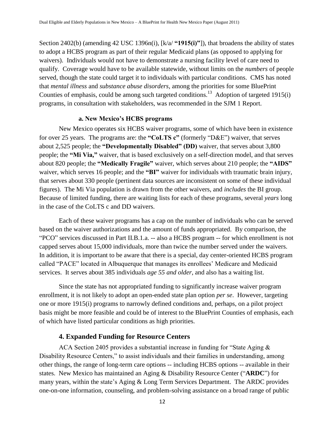Section 2402(b) (amending 42 USC 1396n(i), [k/a/ **"1915(i)"**]), that broadens the ability of states to adopt a HCBS program as part of their regular Medicaid plans (as opposed to applying for waivers). Individuals would not have to demonstrate a nursing facility level of care need to qualify. Coverage would have to be available statewide, without limits on the *numbers* of people served, though the state could target it to individuals with particular conditions. CMS has noted that *mental illness* and *substance abuse disorders*, among the priorities for some BluePrint Counties of emphasis, could be among such targeted conditions.<sup>13</sup> Adoption of targeted 1915(i) programs, in consultation with stakeholders, was recommended in the SJM 1 Report.

#### <span id="page-13-0"></span>**a. New Mexico's HCBS programs**

New Mexico operates six HCBS waiver programs, some of which have been in existence for over 25 years. The programs are: the "CoLTS c" (formerly "D&E") waiver, that serves about 2,525 people; the **"Developmentally Disabled" (DD)** waiver, that serves about 3,800 people; the **"Mi Via,"** waiver, that is based exclusively on a self-direction model, and that serves about 820 people; the **"Medically Fragile"** waiver, which serves about 210 people; the **"AIDS"** waiver, which serves 16 people; and the "BI" waiver for individuals with traumatic brain injury, that serves about 330 people (pertinent data sources are inconsistent on some of these individual figures). The Mi Via population is drawn from the other waivers, and *includes* the BI group. Because of limited funding, there are waiting lists for each of these programs, several *years* long in the case of the CoLTS c and DD waivers.

Each of these waiver programs has a cap on the number of individuals who can be served based on the waiver authorizations and the amount of funds appropriated. By comparison, the ―PCO‖ services discussed in Part II.B.1.a. -- also a HCBS program -- for which enrollment is not capped serves about 15,000 individuals, more than twice the number served under the waivers. In addition, it is important to be aware that there is a special, day center-oriented HCBS program called "PACE" located in Albuquerque that manages its enrollees' Medicare and Medicaid services. It serves about 385 individuals *age 55 and older*, and also has a waiting list.

Since the state has not appropriated funding to significantly increase waiver program enrollment, it is not likely to adopt an open-ended state plan option *per se*. However, targeting one or more 1915(i) programs to narrowly defined conditions and, perhaps, on a pilot project basis might be more feasible and could be of interest to the BluePrint Counties of emphasis, each of which have listed particular conditions as high priorities.

### <span id="page-13-1"></span>**4. Expanded Funding for Resource Centers**

ACA Section 2405 provides a substantial increase in funding for "State Aging  $\&$ Disability Resource Centers," to assist individuals and their families in understanding, among other things, the range of long-term care options -- including HCBS options -- available in their states. New Mexico has maintained an Aging & Disability Resource Center ("ARDC") for many years, within the state's Aging & Long Term Services Department. The ARDC provides one-on-one information, counseling, and problem-solving assistance on a broad range of public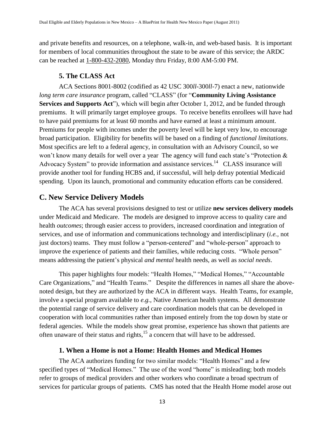and private benefits and resources, on a telephone, walk-in, and web-based basis. It is important for members of local communities throughout the state to be aware of this service; the ARDC can be reached at 1-800-432-2080, Monday thru Friday, 8:00 AM-5:00 PM.

#### <span id="page-14-0"></span>**5. The CLASS Act**

ACA Sections 8001-8002 (codified as 42 USC 300*ll*-300*ll*-7) enact a new, nationwide *long term care insurance program, called "CLASS" (for "Community Living Assistance* **Services and Supports Act**"), which will begin after October 1, 2012, and be funded through premiums. It will primarily target employee groups. To receive benefits enrollees will have had to have paid premiums for at least 60 months and have earned at least a minimum amount. Premiums for people with incomes under the poverty level will be kept very low, to encourage broad participation. Eligibility for benefits will be based on a finding of *functional limitations*. Most specifics are left to a federal agency, in consultation with an Advisory Council, so we won't know many details for well over a year. The agency will fund each state's "Protection  $\&$ Advocacy System" to provide information and assistance services.<sup>14</sup> CLASS insurance will provide another tool for funding HCBS and, if successful, will help defray potential Medicaid spending. Upon its launch, promotional and community education efforts can be considered.

## <span id="page-14-1"></span>**C. New Service Delivery Models**

The ACA has several provisions designed to test or utilize **new services delivery models** under Medicaid and Medicare. The models are designed to improve access to quality care and health *outcomes*; through easier access to providers, increased coordination and integration of services, and use of information and communications technology and interdisciplinary (*i.e.,* not just doctors) teams. They must follow a "person-centered" and "whole-person" approach to improve the experience of patients and their families, while reducing costs. "Whole person" means addressing the patient's physical *and mental* health needs, as well as *social needs*.

This paper highlights four models: "Health Homes," "Medical Homes," "Accountable Care Organizations," and "Health Teams." Despite the differences in names all share the abovenoted design, but they are authorized by the ACA in different ways. Health Teams, for example, involve a special program available to *e.g.,* Native American health systems. All demonstrate the potential range of service delivery and care coordination models that can be developed in cooperation with local communities rather than imposed entirely from the top down by state or federal agencies. While the models show great promise, experience has shown that patients are often unaware of their status and rights,<sup>15</sup> a concern that will have to be addressed.

## <span id="page-14-2"></span>**1. When a Home is not a Home: Health Homes and Medical Homes**

The ACA authorizes funding for two similar models: "Health Homes" and a few specified types of "Medical Homes." The use of the word "home" is misleading; both models refer to groups of medical providers and other workers who coordinate a broad spectrum of services for particular groups of patients. CMS has noted that the Health Home model arose out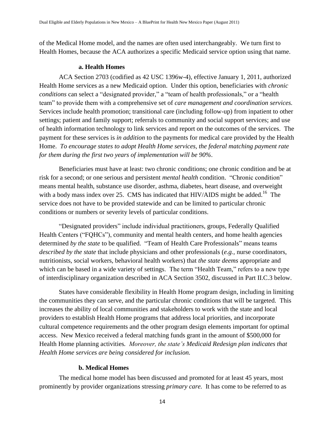of the Medical Home model, and the names are often used interchangeably. We turn first to Health Homes, because the ACA authorizes a specific Medicaid service option using that name.

#### <span id="page-15-0"></span>**a. Health Homes**

ACA Section 2703 (codified as 42 USC 1396w-4), effective January 1, 2011, authorized Health Home services as a new Medicaid option. Under this option, beneficiaries with *chronic conditions* can select a "designated provider," a "team of health professionals," or a "health team" to provide them with a comprehensive set of *care management and coordination services*. Services include health promotion; transitional care (including follow-up) from inpatient to other settings; patient and family support; referrals to community and social support services; and use of health information technology to link services and report on the outcomes of the services. The payment for these services is *in addition* to the payments for medical care provided by the Health Home. *To encourage states to adopt Health Home services, the federal matching payment rate for them during the first two years of implementation will be 90%*.

Beneficiaries must have at least: two chronic conditions; one chronic condition and be at risk for a second; or one serious and persistent *mental health* condition. "Chronic condition" means mental health, substance use disorder, asthma, diabetes, heart disease, and overweight with a body mass index over 25. CMS has indicated that HIV/AIDS might be added.<sup>16</sup> The service does not have to be provided statewide and can be limited to particular chronic conditions or numbers or severity levels of particular conditions.

―Designated providers‖ include individual practitioners, groups, Federally Qualified Health Centers ("FQHCs"), community and mental health centers, and home health agencies determined *by the state* to be qualified. "Team of Health Care Professionals" means teams *described by the state* that include physicians and other professionals (*e.g.,* nurse coordinators, nutritionists, social workers, behavioral health workers) that *the state deems* appropriate and which can be based in a wide variety of settings. The term "Health Team," refers to a new type of interdisciplinary organization described in ACA Section 3502, discussed in Part II.C.3 below.

States have considerable flexibility in Health Home program design, including in limiting the communities they can serve, and the particular chronic conditions that will be targeted. This increases the ability of local communities and stakeholders to work with the state and local providers to establish Health Home programs that address local priorities, and incorporate cultural competence requirements and the other program design elements important for optimal access. New Mexico received a federal matching funds grant in the amount of \$500,000 for Health Home planning activities*. Moreover, the state's Medicaid Redesign plan indicates that Health Home services are being considered for inclusion.*

#### <span id="page-15-1"></span>**b. Medical Homes**

The medical home model has been discussed and promoted for at least 45 years, most prominently by provider organizations stressing *primary care.* It has come to be referred to as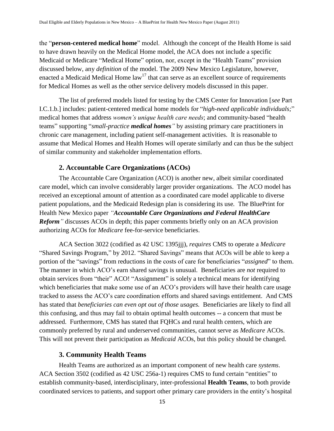the "**person-centered medical home**" model. Although the concept of the Health Home is said to have drawn heavily on the Medical Home model, the ACA does not include a specific Medicaid or Medicare "Medical Home" option, nor, except in the "Health Teams" provision discussed below, any *definition* of the model. The 2009 New Mexico Legislature, however, enacted a Medicaid Medical Home law<sup>17</sup> that can serve as an excellent source of requirements for Medical Homes as well as the other service delivery models discussed in this paper.

The list of preferred models listed for testing by the CMS Center for Innovation [*see* Part I.C.1.b.] includes: patient-centered medical home models for "high-need applicable *individuals;*" medical homes that address *women's unique health care needs*; and community-based "health teams" supporting "*small-practice medical homes* " by assisting primary care practitioners in chronic care management, including patient self-management activities. It is reasonable to assume that Medical Homes and Health Homes will operate similarly and can thus be the subject of similar community and stakeholder implementation efforts.

#### <span id="page-16-0"></span>**2. Accountable Care Organizations (ACOs)**

The Accountable Care Organization (ACO) is another new, albeit similar coordinated care model, which can involve considerably larger provider organizations. The ACO model has received an exceptional amount of attention as a coordinated care model applicable to diverse patient populations, and the Medicaid Redesign plan is considering its use*.* The BluePrint for Health New Mexico paper *"Accountable Care Organizations and Federal HealthCare Reform*<sup>"</sup> discusses ACOs in depth; this paper comments briefly only on an ACA provision authorizing ACOs for *Medicare* fee-for-service beneficiaries.

ACA Section 3022 (codified as 42 USC 1395jjj), *requires* CMS to operate a *Medicare* "Shared Savings Program," by 2012. "Shared Savings" means that ACOs will be able to keep a portion of the "savings" from reductions in the costs of care for beneficiaries "*assigned*" to them. The manner in which ACO's earn shared savings is unusual. Beneficiaries are *not* required to obtain services from "their" ACO! "Assignment" is solely a technical means for identifying which beneficiaries that make some use of an ACO's providers will have their health care usage tracked to assess the ACO's care coordination efforts and shared savings entitlement. And CMS has stated that *beneficiaries can even opt out of those usages.* Beneficiaries are likely to find all this confusing, and thus may fail to obtain optimal health outcomes -- a concern that must be addressed. Furthermore, CMS has stated that FQHCs and rural health centers, which are commonly preferred by rural and underserved communities, cannot serve as *Medicare* ACOs. This will not prevent their participation as *Medicaid* ACOs, but this policy should be changed.

#### <span id="page-16-1"></span>**3. Community Health Teams**

Health Teams are authorized as an important component of new health care *systems*. ACA Section 3502 (codified as 42 USC 256a-1) requires CMS to fund certain "entities" to establish community-based, interdisciplinary, inter-professional **Health Teams**, to both provide coordinated services to patients, and support other primary care providers in the entity's hospital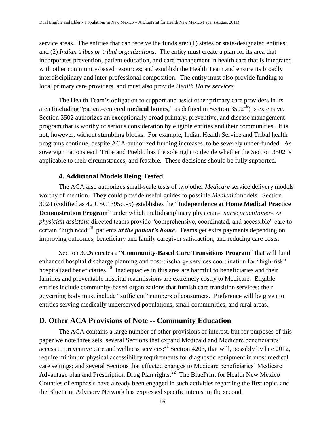service areas. The entities that can receive the funds are: (1) states or state-designated entities; and (2) *Indian tribes or tribal organizations*. The entity must create a plan for its area that incorporates prevention, patient education, and care management in health care that is integrated with other community-based resources; and establish the Health Team and ensure its broadly interdisciplinary and inter-professional composition. The entity must also provide funding to local primary care providers, and must also provide *Health Home services.*

The Health Team's obligation to support and assist other primary care providers in its area (including "patient-centered **medical homes**," as defined in Section  $3502^{18}$ ) is extensive. Section 3502 authorizes an exceptionally broad primary, preventive, and disease management program that is worthy of serious consideration by eligible entities and their communities. It is not, however, without stumbling blocks. For example, Indian Health Service and Tribal health programs continue, despite ACA-authorized funding increases, to be severely under-funded. As sovereign nations each Tribe and Pueblo has the sole right to decide whether the Section 3502 is applicable to their circumstances, and feasible. These decisions should be fully supported.

#### <span id="page-17-0"></span>**4. Additional Models Being Tested**

The ACA also authorizes small-scale tests of two other *Medicare* service delivery models worthy of mention. They could provide useful guides to possible *Medicaid* models. Section 3024 (codified as 42 USC1395cc-5) establishes the "Independence at Home Medical Practice **Demonstration Program**" under which multidisciplinary physician-, *nurse practitioner-, or physician assistant*-directed teams provide "comprehensive, coordinated, and accessible" care to certain "high need"<sup>19</sup> patients *at the patient's home*. Teams get extra payments depending on improving outcomes, beneficiary and family caregiver satisfaction, and reducing care costs.

Section 3026 creates a "**Community-Based Care Transitions Program**" that will fund enhanced hospital discharge planning and post-discharge services coordination for "high-risk" hospitalized beneficiaries.<sup>20</sup> Inadequacies in this area are harmful to beneficiaries and their families and preventable hospital readmissions are extremely costly to Medicare. Eligible entities include community-based organizations that furnish care transition services; their governing body must include "sufficient" numbers of consumers. Preference will be given to entities serving medically underserved populations, small communities, and rural areas.

# <span id="page-17-1"></span>**D. Other ACA Provisions of Note -- Community Education**

The ACA contains a large number of other provisions of interest, but for purposes of this paper we note three sets: several Sections that expand Medicaid and Medicare beneficiaries' access to preventive care and wellness services;<sup>21</sup> Section 4203, that will, possibly by late 2012, require minimum physical accessibility requirements for diagnostic equipment in most medical care settings; and several Sections that effected changes to Medicare beneficiaries' Medicare Advantage plan and Prescription Drug Plan rights.<sup>22</sup> The BluePrint for Health New Mexico Counties of emphasis have already been engaged in such activities regarding the first topic, and the BluePrint Advisory Network has expressed specific interest in the second.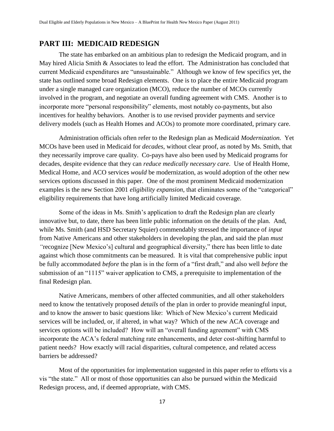# <span id="page-18-0"></span>**PART III: MEDICAID REDESIGN**

The state has embarked on an ambitious plan to redesign the Medicaid program, and in May hired Alicia Smith & Associates to lead the effort. The Administration has concluded that current Medicaid expenditures are "unsustainable." Although we know of few specifics yet, the state has outlined some broad Redesign elements. One is to place the entire Medicaid program under a single managed care organization (MCO), reduce the number of MCOs currently involved in the program, and negotiate an overall funding agreement with CMS. Another is to incorporate more "personal responsibility" elements, most notably co-payments, but also incentives for healthy behaviors. Another is to use revised provider payments and service delivery models (such as Health Homes and ACOs) to promote more coordinated, primary care.

Administration officials often refer to the Redesign plan as Medicaid *Modernization.* Yet MCOs have been used in Medicaid for *decades*, without clear proof, as noted by Ms. Smith, that they necessarily improve care quality. Co-pays have also been used by Medicaid programs for decades, despite evidence that they can *reduce medically necessary care*. Use of Health Home, Medical Home, and ACO services *would* be modernization, as would adoption of the other new services options discussed in this paper. One of the most prominent Medicaid modernization examples is the new Section 2001 *eligibility expansion*, that eliminates some of the "categorical" eligibility requirements that have long artificially limited Medicaid coverage.

Some of the ideas in Ms. Smith's application to draft the Redesign plan are clearly innovative but, to date, there has been little public information on the details of the plan. And, while Ms. Smith (and HSD Secretary Squier) commendably stressed the importance of *input* from Native Americans and other stakeholders in developing the plan, and said the plan *must*  "recognize [New Mexico's] cultural and geographical diversity," there has been little to date against which those commitments can be measured. It is vital that comprehensive public input be fully accommodated *before* the plan is in the form of a "first draft," and also well *before* the submission of an "1115" waiver application to CMS, a prerequisite to implementation of the final Redesign plan.

Native Americans, members of other affected communities, and all other stakeholders need to know the tentatively proposed *details* of the plan in order to provide meaningful input, and to know the answer to basic questions like: Which of New Mexico's current Medicaid services will be included, or, if altered, in what way? Which of the new ACA coverage and services options will be included? How will an "overall funding agreement" with CMS incorporate the ACA's federal matching rate enhancements, and deter cost-shifting harmful to patient needs? How exactly will racial disparities, cultural competence, and related access barriers be addressed?

Most of the opportunities for implementation suggested in this paper refer to efforts vis a vis "the state." All or most of those opportunities can also be pursued within the Medicaid Redesign process, and, if deemed appropriate, with CMS.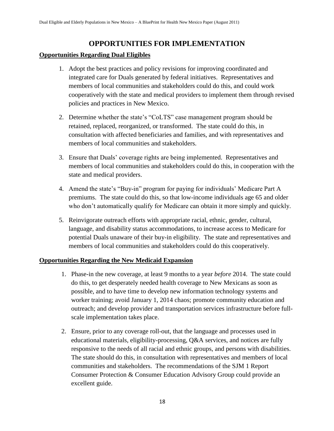# **OPPORTUNITIES FOR IMPLEMENTATION**

## <span id="page-19-0"></span>**Opportunities Regarding Dual Eligibles**

- 1. Adopt the best practices and policy revisions for improving coordinated and integrated care for Duals generated by federal initiatives. Representatives and members of local communities and stakeholders could do this, and could work cooperatively with the state and medical providers to implement them through revised policies and practices in New Mexico.
- 2. Determine whether the state's "CoLTS" case management program should be retained, replaced, reorganized, or transformed. The state could do this, in consultation with affected beneficiaries and families, and with representatives and members of local communities and stakeholders.
- 3. Ensure that Duals' coverage rights are being implemented. Representatives and members of local communities and stakeholders could do this, in cooperation with the state and medical providers.
- 4. Amend the state's "Buy-in" program for paying for individuals' Medicare Part A premiums. The state could do this, so that low-income individuals age 65 and older who don't automatically qualify for Medicare can obtain it more simply and quickly.
- 5. Reinvigorate outreach efforts with appropriate racial, ethnic, gender, cultural, language, and disability status accommodations, to increase access to Medicare for potential Duals unaware of their buy-in eligibility. The state and representatives and members of local communities and stakeholders could do this cooperatively.

# **Opportunities Regarding the New Medicaid Expansion**

- 1. Phase-in the new coverage, at least 9 months to a year *before* 2014. The state could do this, to get desperately needed health coverage to New Mexicans as soon as possible, and to have time to develop new information technology systems and worker training; avoid January 1, 2014 chaos; promote community education and outreach; and develop provider and transportation services infrastructure before fullscale implementation takes place.
- 2. Ensure, prior to any coverage roll-out, that the language and processes used in educational materials, eligibility-processing, Q&A services, and notices are fully responsive to the needs of all racial and ethnic groups, and persons with disabilities. The state should do this, in consultation with representatives and members of local communities and stakeholders. The recommendations of the SJM 1 Report Consumer Protection & Consumer Education Advisory Group could provide an excellent guide.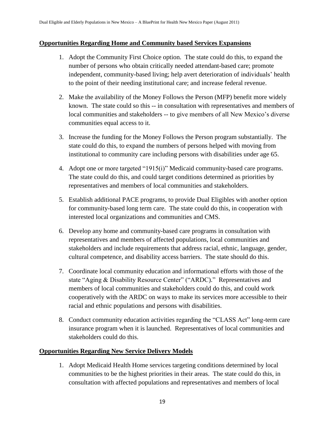#### **Opportunities Regarding Home and Community based Services Expansions**

- 1. Adopt the Community First Choice option. The state could do this, to expand the number of persons who obtain critically needed attendant-based care; promote independent, community-based living; help avert deterioration of individuals' health to the point of their needing institutional care; and increase federal revenue.
- 2. Make the availability of the Money Follows the Person (MFP) benefit more widely known. The state could so this -- in consultation with representatives and members of local communities and stakeholders -- to give members of all New Mexico's diverse communities equal access to it.
- 3. Increase the funding for the Money Follows the Person program substantially. The state could do this, to expand the numbers of persons helped with moving from institutional to community care including persons with disabilities under age 65.
- 4. Adopt one or more targeted  $"1915(i)"$  Medicaid community-based care programs. The state could do this, and could target conditions determined as priorities by representatives and members of local communities and stakeholders.
- 5. Establish additional PACE programs, to provide Dual Eligibles with another option for community-based long term care. The state could do this, in cooperation with interested local organizations and communities and CMS.
- 6. Develop any home and community-based care programs in consultation with representatives and members of affected populations, local communities and stakeholders and include requirements that address racial, ethnic, language, gender, cultural competence, and disability access barriers. The state should do this.
- 7. Coordinate local community education and informational efforts with those of the state "Aging & Disability Resource Center" ("ARDC)." Representatives and members of local communities and stakeholders could do this, and could work cooperatively with the ARDC on ways to make its services more accessible to their racial and ethnic populations and persons with disabilities.
- 8. Conduct community education activities regarding the "CLASS Act" long-term care insurance program when it is launched. Representatives of local communities and stakeholders could do this.

#### **Opportunities Regarding New Service Delivery Models**

1. Adopt Medicaid Health Home services targeting conditions determined by local communities to be the highest priorities in their areas. The state could do this, in consultation with affected populations and representatives and members of local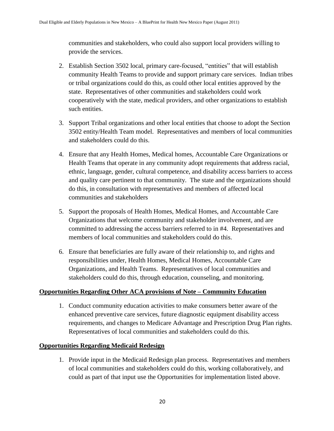communities and stakeholders, who could also support local providers willing to provide the services.

- 2. Establish Section 3502 local, primary care-focused, "entities" that will establish community Health Teams to provide and support primary care services. Indian tribes or tribal organizations could do this, as could other local entities approved by the state. Representatives of other communities and stakeholders could work cooperatively with the state, medical providers, and other organizations to establish such entities.
- 3. Support Tribal organizations and other local entities that choose to adopt the Section 3502 entity/Health Team model. Representatives and members of local communities and stakeholders could do this.
- 4. Ensure that any Health Homes, Medical homes, Accountable Care Organizations or Health Teams that operate in any community adopt requirements that address racial, ethnic, language, gender, cultural competence, and disability access barriers to access and quality care pertinent to that community. The state and the organizations should do this, in consultation with representatives and members of affected local communities and stakeholders
- 5. Support the proposals of Health Homes, Medical Homes, and Accountable Care Organizations that welcome community and stakeholder involvement, and are committed to addressing the access barriers referred to in #4. Representatives and members of local communities and stakeholders could do this.
- 6. Ensure that beneficiaries are fully aware of their relationship to, and rights and responsibilities under, Health Homes, Medical Homes, Accountable Care Organizations, and Health Teams. Representatives of local communities and stakeholders could do this, through education, counseling, and monitoring.

# **Opportunities Regarding Other ACA provisions of Note – Community Education**

1. Conduct community education activities to make consumers better aware of the enhanced preventive care services, future diagnostic equipment disability access requirements, and changes to Medicare Advantage and Prescription Drug Plan rights. Representatives of local communities and stakeholders could do this.

# **Opportunities Regarding Medicaid Redesign**

1. Provide input in the Medicaid Redesign plan process. Representatives and members of local communities and stakeholders could do this, working collaboratively, and could as part of that input use the Opportunities for implementation listed above.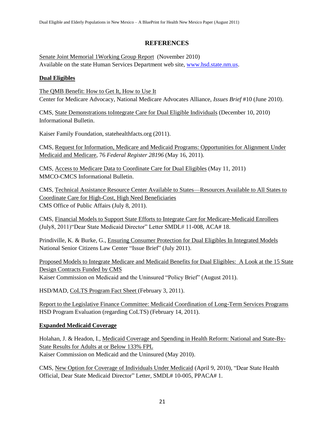# **REFERENCES**

Senate Joint Memorial 1Working Group Report (November 2010) Available on the state Human Services Department web site, [www.hsd.state.nm.us.](http://www.hsd.state.nm.us/)

## **Dual Eligibles**

The QMB Benefit: How to Get It, How to Use It Center for Medicare Advocacy, National Medicare Advocates Alliance, *Issues Brief* #10 (June 2010).

CMS, State Demonstrations toIntegrate Care for Dual Eligible Individuals (December 10, 2010) Informational Bulletin.

Kaiser Family Foundation, statehealthfacts.org (2011).

CMS, Request for Information, Medicare and Medicaid Programs: Opportunities for Alignment Under Medicaid and Medicare*,* 76 *Federal Register 28196* (May 16, 2011).

CMS, Access to Medicare Data to Coordinate Care for Dual Eligibles (May 11, 2011) MMCO-CMCS Informational Bulletin.

CMS, Technical Assistance Resource Center Available to States—Resources Available to All States to Coordinate Care for High-Cost, High Need Beneficiaries CMS Office of Public Affairs (July 8, 2011).

CMS, Financial Models to Support State Efforts to Integrate Care for Medicare-Medicaid Enrollees (July8, 2011) "Dear State Medicaid Director" Letter SMDL# 11-008, ACA# 18.

Prindiville, K. & Burke, G., Ensuring Consumer Protection for Dual Eligibles In Integrated Models National Senior Citizens Law Center "Issue Brief" (July 2011).

Proposed Models to Integrate Medicare and Medicaid Benefits for Dual Eligibles: A Look at the 15 State Design Contracts Funded by CMS

Kaiser Commission on Medicaid and the Uninsured "Policy Brief" (August 2011).

HSD/MAD, CoLTS Program Fact Sheet (February 3, 2011).

Report to the Legislative Finance Committee: Medicaid Coordination of Long-Term Services Programs HSD Program Evaluation (regarding CoLTS) (February 14, 2011).

# **Expanded Medicaid Coverage**

Holahan, J. & Headon, I., Medicaid Coverage and Spending in Health Reform: National and State-By-State Results for Adults at or Below 133% FPL Kaiser Commission on Medicaid and the Uninsured (May 2010).

CMS, New Option for Coverage of Individuals Under Medicaid (April 9, 2010), "Dear State Health Official, Dear State Medicaid Director" Letter, SMDL# 10-005, PPACA# 1.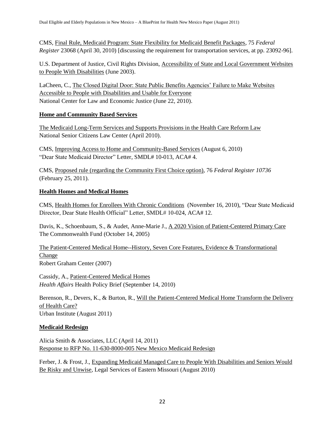CMS, Final Rule, Medicaid Program: State Flexibility for Medicaid Benefit Packages, 75 *Federal Register* 23068 (April 30, 2010) [discussing the requirement for transportation services, at pp. 23092-96].

U.S. Department of Justice, Civil Rights Division, Accessibility of State and Local Government Websites to People With Disabilities (June 2003).

LaCheen, C., The Closed Digital Door: State Public Benefits Agencies' Failure to Make Websites Accessible to People with Disabilities and Usable for Everyone National Center for Law and Economic Justice (June 22, 2010).

#### **Home and Community Based Services**

The Medicaid Long-Term Services and Supports Provisions in the Health Care Reform Law National Senior Citizens Law Center (April 2010).

CMS, Improving Access to Home and Community-Based Services (August 6, 2010) ―Dear State Medicaid Director‖ Letter, SMDL# 10-013, ACA# 4.

CMS, Proposed rule (regarding the Community First Choice option), 76 *Federal Register 10736*  (February 25, 2011).

# **Health Homes and Medical Homes**

CMS, Health Homes for Enrollees With Chronic Conditions (November 16, 2010), "Dear State Medicaid Director, Dear State Health Official" Letter, SMDL# 10-024, ACA# 12.

Davis, K., Schoenbaum, S., & Audet, Anne-Marie J., A 2020 Vision of Patient-Centered Primary Care The Commonwealth Fund (October 14, 2005)

The Patient-Centered Medical Home--History, Seven Core Features, Evidence & Transformational Change

Robert Graham Center (2007)

Cassidy, A., Patient-Centered Medical Homes *Health Affairs* Health Policy Brief (September 14, 2010)

Berenson, R., Devers, K., & Burton, R., Will the Patient-Centered Medical Home Transform the Delivery of Health Care? Urban Institute (August 2011)

# **Medicaid Redesign**

Alicia Smith & Associates, LLC (April 14, 2011) Response to RFP No. 11-630-8000-005 New Mexico Medicaid Redesign

Ferber, J. & Frost, J., Expanding Medicaid Managed Care to People With Disabilities and Seniors Would Be Risky and Unwise, Legal Services of Eastern Missouri (August 2010)